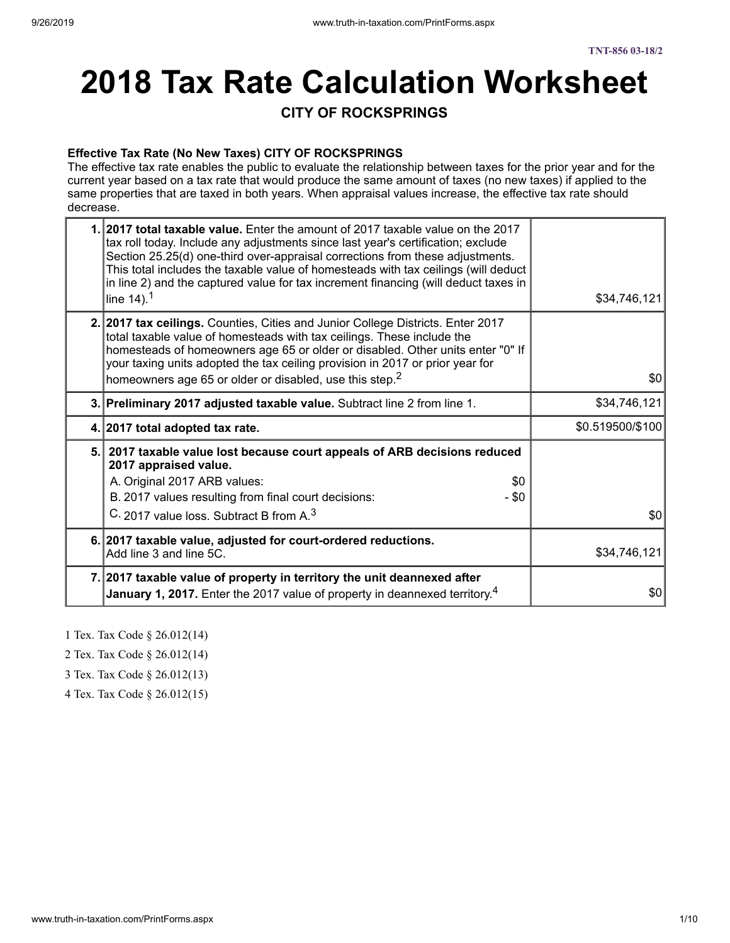# **2018 Tax Rate Calculation Worksheet**

#### **CITY OF ROCKSPRINGS**

#### **Effective Tax Rate (No New Taxes) CITY OF ROCKSPRINGS**

The effective tax rate enables the public to evaluate the relationship between taxes for the prior year and for the current year based on a tax rate that would produce the same amount of taxes (no new taxes) if applied to the same properties that are taxed in both years. When appraisal values increase, the effective tax rate should decrease.

| 1.12017 total taxable value. Enter the amount of 2017 taxable value on the 2017<br>tax roll today. Include any adjustments since last year's certification; exclude<br>Section 25.25(d) one-third over-appraisal corrections from these adjustments.<br>This total includes the taxable value of homesteads with tax ceilings (will deduct<br>in line 2) and the captured value for tax increment financing (will deduct taxes in<br>line $14$ ). <sup>1</sup> | \$34,746,121     |
|----------------------------------------------------------------------------------------------------------------------------------------------------------------------------------------------------------------------------------------------------------------------------------------------------------------------------------------------------------------------------------------------------------------------------------------------------------------|------------------|
| 2. 2017 tax ceilings. Counties, Cities and Junior College Districts. Enter 2017<br>total taxable value of homesteads with tax ceilings. These include the<br>homesteads of homeowners age 65 or older or disabled. Other units enter "0" If<br>your taxing units adopted the tax ceiling provision in 2017 or prior year for<br>homeowners age 65 or older or disabled, use this step. <sup>2</sup>                                                            | 30               |
| 3. Preliminary 2017 adjusted taxable value. Subtract line 2 from line 1.                                                                                                                                                                                                                                                                                                                                                                                       | \$34,746,121     |
| 4. 2017 total adopted tax rate.                                                                                                                                                                                                                                                                                                                                                                                                                                | \$0.519500/\$100 |
| 5. 2017 taxable value lost because court appeals of ARB decisions reduced<br>2017 appraised value.<br>A. Original 2017 ARB values:<br>\$0                                                                                                                                                                                                                                                                                                                      |                  |
| B. 2017 values resulting from final court decisions:<br>- \$0                                                                                                                                                                                                                                                                                                                                                                                                  |                  |
| C. 2017 value loss. Subtract B from A. <sup>3</sup>                                                                                                                                                                                                                                                                                                                                                                                                            | \$0              |
| 6. 2017 taxable value, adjusted for court-ordered reductions.<br>Add line 3 and line 5C.                                                                                                                                                                                                                                                                                                                                                                       | \$34,746,121     |
| 7. 2017 taxable value of property in territory the unit deannexed after<br>January 1, 2017. Enter the 2017 value of property in deannexed territory. <sup>4</sup>                                                                                                                                                                                                                                                                                              | \$0              |

- 1 Tex. Tax Code § 26.012(14)
- 2 Tex. Tax Code § 26.012(14)
- 3 Tex. Tax Code § 26.012(13)
- 4 Tex. Tax Code § 26.012(15)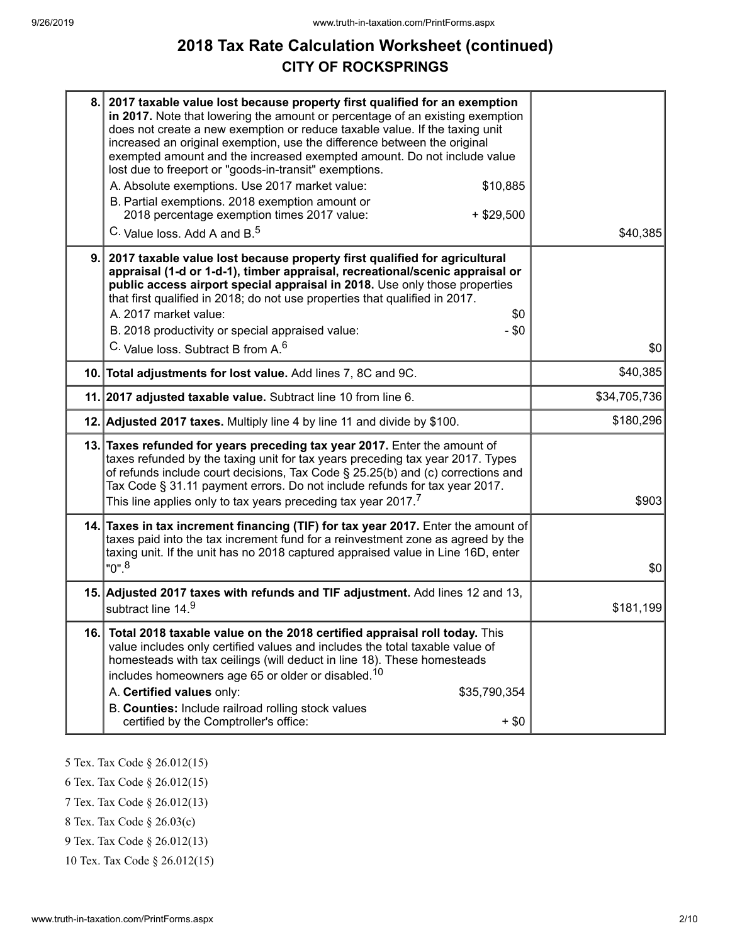# **2018 Tax Rate Calculation Worksheet (continued) CITY OF ROCKSPRINGS**

| 8.1 | 2017 taxable value lost because property first qualified for an exemption<br>in 2017. Note that lowering the amount or percentage of an existing exemption<br>does not create a new exemption or reduce taxable value. If the taxing unit<br>increased an original exemption, use the difference between the original<br>exempted amount and the increased exempted amount. Do not include value<br>lost due to freeport or "goods-in-transit" exemptions.<br>A. Absolute exemptions. Use 2017 market value:<br>\$10,885<br>B. Partial exemptions. 2018 exemption amount or<br>2018 percentage exemption times 2017 value:<br>$+$ \$29,500<br>C. Value loss. Add A and B. <sup>5</sup> | \$40,385     |
|-----|----------------------------------------------------------------------------------------------------------------------------------------------------------------------------------------------------------------------------------------------------------------------------------------------------------------------------------------------------------------------------------------------------------------------------------------------------------------------------------------------------------------------------------------------------------------------------------------------------------------------------------------------------------------------------------------|--------------|
| 9.  | 2017 taxable value lost because property first qualified for agricultural<br>appraisal (1-d or 1-d-1), timber appraisal, recreational/scenic appraisal or<br>public access airport special appraisal in 2018. Use only those properties<br>that first qualified in 2018; do not use properties that qualified in 2017.<br>A. 2017 market value:<br>\$0<br>B. 2018 productivity or special appraised value:<br>$-$ \$0<br>C. Value loss, Subtract B from A. <sup>6</sup>                                                                                                                                                                                                                | \$0          |
|     | 10. Total adjustments for lost value. Add lines 7, 8C and 9C.                                                                                                                                                                                                                                                                                                                                                                                                                                                                                                                                                                                                                          | \$40,385     |
|     | 11. 2017 adjusted taxable value. Subtract line 10 from line 6.                                                                                                                                                                                                                                                                                                                                                                                                                                                                                                                                                                                                                         | \$34,705,736 |
|     | 12. Adjusted 2017 taxes. Multiply line 4 by line 11 and divide by \$100.                                                                                                                                                                                                                                                                                                                                                                                                                                                                                                                                                                                                               | \$180,296    |
|     | 13. Taxes refunded for years preceding tax year 2017. Enter the amount of<br>taxes refunded by the taxing unit for tax years preceding tax year 2017. Types<br>of refunds include court decisions, Tax Code § 25.25(b) and (c) corrections and<br>Tax Code § 31.11 payment errors. Do not include refunds for tax year 2017.<br>This line applies only to tax years preceding tax year 2017.7                                                                                                                                                                                                                                                                                          | \$903        |
|     | 14. Taxes in tax increment financing (TIF) for tax year 2017. Enter the amount of<br>taxes paid into the tax increment fund for a reinvestment zone as agreed by the<br>taxing unit. If the unit has no 2018 captured appraised value in Line 16D, enter<br>$"0"$ . <sup>8</sup>                                                                                                                                                                                                                                                                                                                                                                                                       | \$0          |
|     | 15. Adjusted 2017 taxes with refunds and TIF adjustment. Add lines 12 and 13,<br>subtract line 14.9                                                                                                                                                                                                                                                                                                                                                                                                                                                                                                                                                                                    | \$181,199    |
| 16. | Total 2018 taxable value on the 2018 certified appraisal roll today. This<br>value includes only certified values and includes the total taxable value of<br>homesteads with tax ceilings (will deduct in line 18). These homesteads<br>includes homeowners age 65 or older or disabled. <sup>10</sup><br>A. Certified values only:<br>\$35,790,354<br>B. Counties: Include railroad rolling stock values<br>certified by the Comptroller's office:<br>$+$ \$0                                                                                                                                                                                                                         |              |
|     |                                                                                                                                                                                                                                                                                                                                                                                                                                                                                                                                                                                                                                                                                        |              |

5 Tex. Tax Code § 26.012(15)

6 Tex. Tax Code § 26.012(15)

7 Tex. Tax Code § 26.012(13)

8 Tex. Tax Code § 26.03(c)

9 Tex. Tax Code § 26.012(13)

10 Tex. Tax Code § 26.012(15)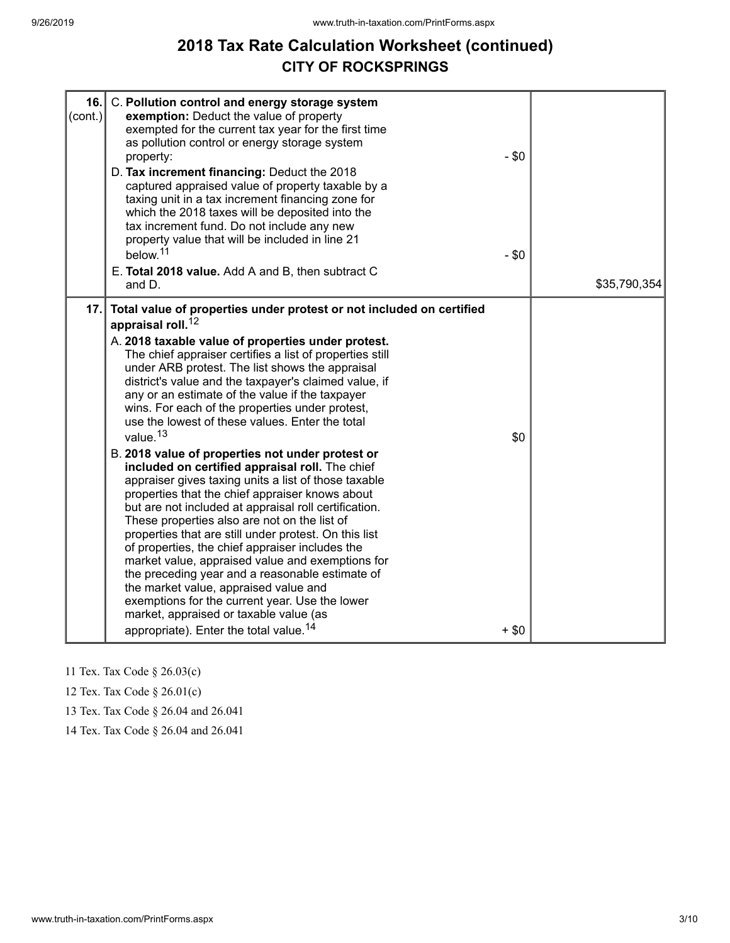# **2018 Tax Rate Calculation Worksheet (continued) CITY OF ROCKSPRINGS**

| 16.<br>$\left( \text{cont.} \right)  $ | C. Pollution control and energy storage system<br>exemption: Deduct the value of property<br>exempted for the current tax year for the first time<br>as pollution control or energy storage system<br>property:<br>D. Tax increment financing: Deduct the 2018<br>captured appraised value of property taxable by a<br>taxing unit in a tax increment financing zone for<br>which the 2018 taxes will be deposited into the<br>tax increment fund. Do not include any new<br>property value that will be included in line 21<br>below. <sup>11</sup><br>E. Total 2018 value. Add A and B, then subtract C<br>and D.                                                                                                                                                                                                                                                                                                                                                                                                                                                                                                                                                                                                                                           | $-$ \$0<br>$-$ \$0 | \$35,790,354 |
|----------------------------------------|---------------------------------------------------------------------------------------------------------------------------------------------------------------------------------------------------------------------------------------------------------------------------------------------------------------------------------------------------------------------------------------------------------------------------------------------------------------------------------------------------------------------------------------------------------------------------------------------------------------------------------------------------------------------------------------------------------------------------------------------------------------------------------------------------------------------------------------------------------------------------------------------------------------------------------------------------------------------------------------------------------------------------------------------------------------------------------------------------------------------------------------------------------------------------------------------------------------------------------------------------------------|--------------------|--------------|
| 17.                                    | Total value of properties under protest or not included on certified<br>appraisal roll. <sup>12</sup><br>A. 2018 taxable value of properties under protest.<br>The chief appraiser certifies a list of properties still<br>under ARB protest. The list shows the appraisal<br>district's value and the taxpayer's claimed value, if<br>any or an estimate of the value if the taxpayer<br>wins. For each of the properties under protest,<br>use the lowest of these values. Enter the total<br>value. <sup>13</sup><br>B. 2018 value of properties not under protest or<br>included on certified appraisal roll. The chief<br>appraiser gives taxing units a list of those taxable<br>properties that the chief appraiser knows about<br>but are not included at appraisal roll certification.<br>These properties also are not on the list of<br>properties that are still under protest. On this list<br>of properties, the chief appraiser includes the<br>market value, appraised value and exemptions for<br>the preceding year and a reasonable estimate of<br>the market value, appraised value and<br>exemptions for the current year. Use the lower<br>market, appraised or taxable value (as<br>appropriate). Enter the total value. <sup>14</sup> | \$0<br>$+$ \$0     |              |

11 Tex. Tax Code § 26.03(c)

12 Tex. Tax Code § 26.01(c)

13 Tex. Tax Code § 26.04 and 26.041

14 Tex. Tax Code § 26.04 and 26.041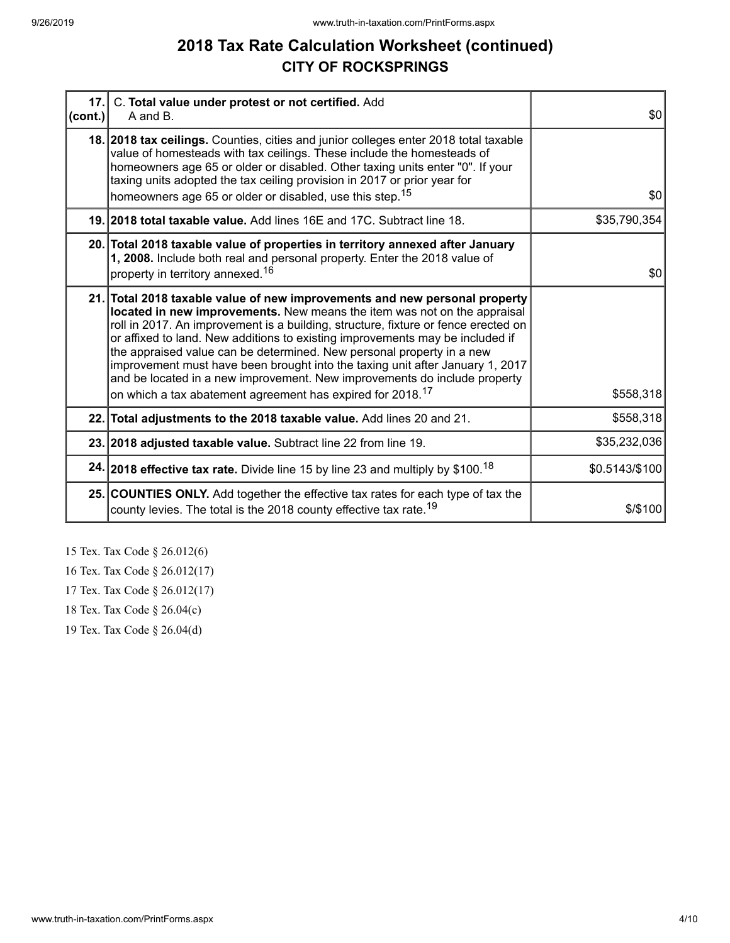# **2018 Tax Rate Calculation Worksheet (continued) CITY OF ROCKSPRINGS**

| cont. | 17. C. Total value under protest or not certified. Add<br>A and B.                                                                                                                                                                                                                                                                                                                                                                                                                                                                                                                                                                             | \$0            |
|-------|------------------------------------------------------------------------------------------------------------------------------------------------------------------------------------------------------------------------------------------------------------------------------------------------------------------------------------------------------------------------------------------------------------------------------------------------------------------------------------------------------------------------------------------------------------------------------------------------------------------------------------------------|----------------|
|       | 18. 2018 tax ceilings. Counties, cities and junior colleges enter 2018 total taxable<br>value of homesteads with tax ceilings. These include the homesteads of<br>homeowners age 65 or older or disabled. Other taxing units enter "0". If your<br>taxing units adopted the tax ceiling provision in 2017 or prior year for                                                                                                                                                                                                                                                                                                                    |                |
|       | homeowners age 65 or older or disabled, use this step. <sup>15</sup>                                                                                                                                                                                                                                                                                                                                                                                                                                                                                                                                                                           | \$0            |
|       | 19. 2018 total taxable value. Add lines 16E and 17C. Subtract line 18.                                                                                                                                                                                                                                                                                                                                                                                                                                                                                                                                                                         | \$35,790,354   |
|       | 20. Total 2018 taxable value of properties in territory annexed after January<br>1, 2008. Include both real and personal property. Enter the 2018 value of<br>property in territory annexed. <sup>16</sup>                                                                                                                                                                                                                                                                                                                                                                                                                                     | \$0            |
|       | 21. Total 2018 taxable value of new improvements and new personal property<br>located in new improvements. New means the item was not on the appraisal<br>roll in 2017. An improvement is a building, structure, fixture or fence erected on<br>or affixed to land. New additions to existing improvements may be included if<br>the appraised value can be determined. New personal property in a new<br>improvement must have been brought into the taxing unit after January 1, 2017<br>and be located in a new improvement. New improvements do include property<br>on which a tax abatement agreement has expired for 2018. <sup>17</sup> | \$558,318      |
|       | 22. Total adjustments to the 2018 taxable value. Add lines 20 and 21.                                                                                                                                                                                                                                                                                                                                                                                                                                                                                                                                                                          | \$558,318      |
|       | 23. 2018 adjusted taxable value. Subtract line 22 from line 19.                                                                                                                                                                                                                                                                                                                                                                                                                                                                                                                                                                                | \$35,232,036   |
|       | 24. 2018 effective tax rate. Divide line 15 by line 23 and multiply by \$100. <sup>18</sup>                                                                                                                                                                                                                                                                                                                                                                                                                                                                                                                                                    | \$0.5143/\$100 |
|       | 25. COUNTIES ONLY. Add together the effective tax rates for each type of tax the<br>county levies. The total is the 2018 county effective tax rate. <sup>19</sup>                                                                                                                                                                                                                                                                                                                                                                                                                                                                              | \$/\$100       |

15 Tex. Tax Code § 26.012(6)

16 Tex. Tax Code § 26.012(17)

17 Tex. Tax Code § 26.012(17)

18 Tex. Tax Code § 26.04(c)

19 Tex. Tax Code § 26.04(d)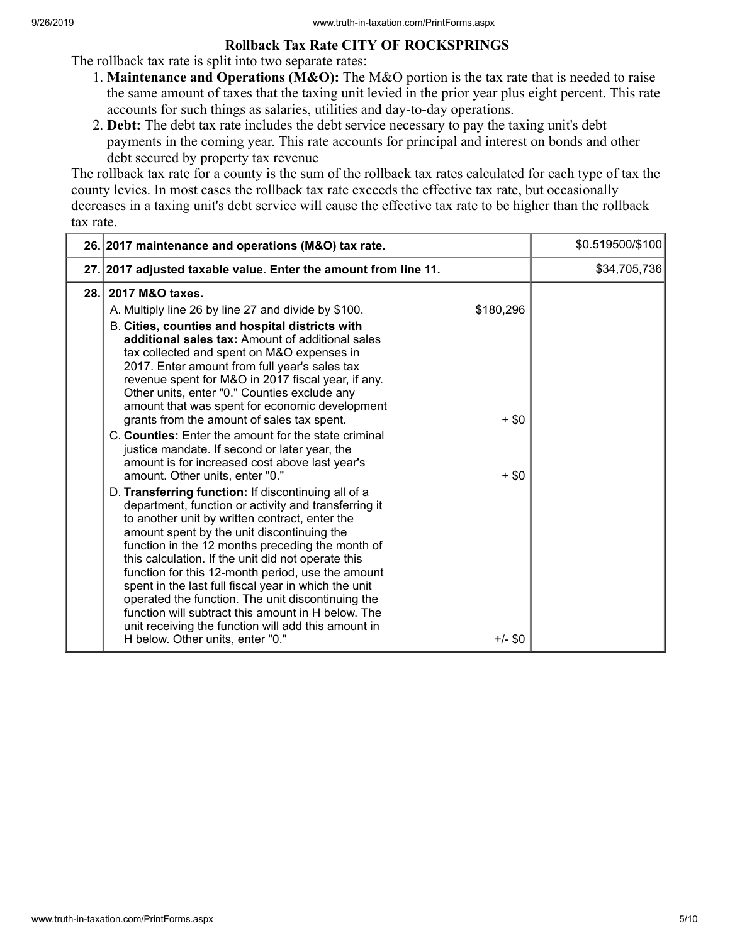#### **Rollback Tax Rate CITY OF ROCKSPRINGS**

The rollback tax rate is split into two separate rates:

- 1. **Maintenance and Operations (M&O):** The M&O portion is the tax rate that is needed to raise the same amount of taxes that the taxing unit levied in the prior year plus eight percent. This rate accounts for such things as salaries, utilities and day-to-day operations.
- 2. **Debt:** The debt tax rate includes the debt service necessary to pay the taxing unit's debt payments in the coming year. This rate accounts for principal and interest on bonds and other debt secured by property tax revenue

The rollback tax rate for a county is the sum of the rollback tax rates calculated for each type of tax the county levies. In most cases the rollback tax rate exceeds the effective tax rate, but occasionally decreases in a taxing unit's debt service will cause the effective tax rate to be higher than the rollback tax rate.

|      | 26. 2017 maintenance and operations (M&O) tax rate.                                                                                                                                                                                                                                                                                                                                                                                                                                                                                                                                                                                                                                                                                                                                                                                                                                                                                                                                                                                                                                                                                                                                                                                                                                                                          |                                              | \$0.519500/\$100 |
|------|------------------------------------------------------------------------------------------------------------------------------------------------------------------------------------------------------------------------------------------------------------------------------------------------------------------------------------------------------------------------------------------------------------------------------------------------------------------------------------------------------------------------------------------------------------------------------------------------------------------------------------------------------------------------------------------------------------------------------------------------------------------------------------------------------------------------------------------------------------------------------------------------------------------------------------------------------------------------------------------------------------------------------------------------------------------------------------------------------------------------------------------------------------------------------------------------------------------------------------------------------------------------------------------------------------------------------|----------------------------------------------|------------------|
|      | 27. 2017 adjusted taxable value. Enter the amount from line 11.                                                                                                                                                                                                                                                                                                                                                                                                                                                                                                                                                                                                                                                                                                                                                                                                                                                                                                                                                                                                                                                                                                                                                                                                                                                              |                                              | \$34,705,736     |
| 28.1 | 2017 M&O taxes.<br>A. Multiply line 26 by line 27 and divide by \$100.<br>B. Cities, counties and hospital districts with<br>additional sales tax: Amount of additional sales<br>tax collected and spent on M&O expenses in<br>2017. Enter amount from full year's sales tax<br>revenue spent for M&O in 2017 fiscal year, if any.<br>Other units, enter "0." Counties exclude any<br>amount that was spent for economic development<br>grants from the amount of sales tax spent.<br>C. Counties: Enter the amount for the state criminal<br>justice mandate. If second or later year, the<br>amount is for increased cost above last year's<br>amount. Other units, enter "0."<br>D. Transferring function: If discontinuing all of a<br>department, function or activity and transferring it<br>to another unit by written contract, enter the<br>amount spent by the unit discontinuing the<br>function in the 12 months preceding the month of<br>this calculation. If the unit did not operate this<br>function for this 12-month period, use the amount<br>spent in the last full fiscal year in which the unit<br>operated the function. The unit discontinuing the<br>function will subtract this amount in H below. The<br>unit receiving the function will add this amount in<br>H below. Other units, enter "0." | \$180,296<br>$+$ \$0<br>$+$ \$0<br>$+/-$ \$0 |                  |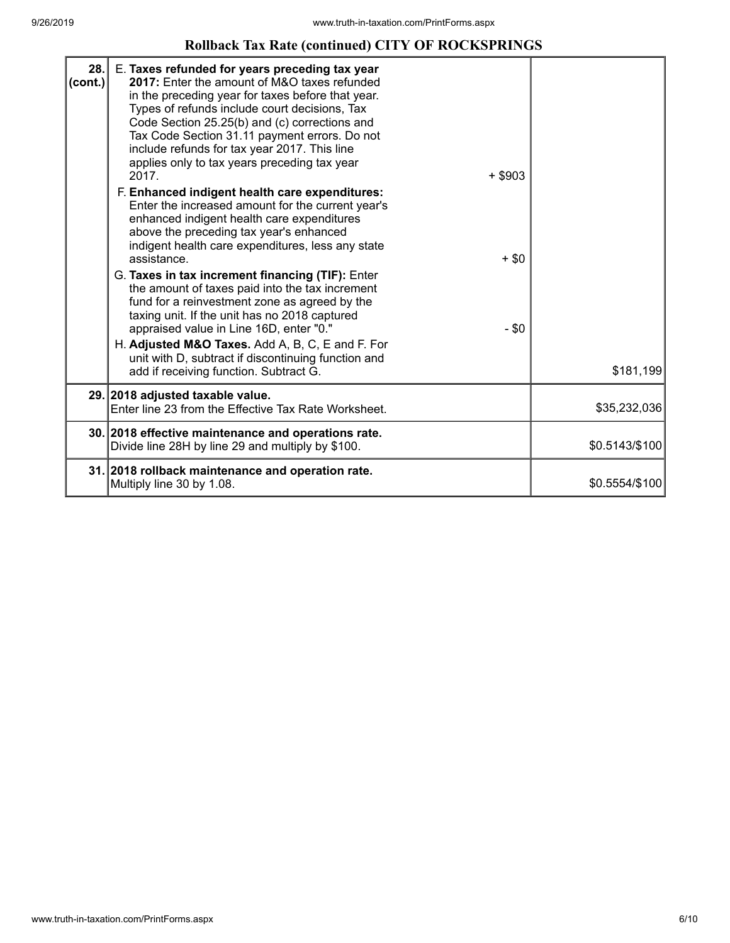### **Rollback Tax Rate (continued) CITY OF ROCKSPRINGS**

| 28.<br>(cont.) | E. Taxes refunded for years preceding tax year<br>2017: Enter the amount of M&O taxes refunded<br>in the preceding year for taxes before that year.<br>Types of refunds include court decisions, Tax<br>Code Section 25.25(b) and (c) corrections and<br>Tax Code Section 31.11 payment errors. Do not<br>include refunds for tax year 2017. This line<br>applies only to tax years preceding tax year<br>2017.<br>$+$ \$903<br>F. Enhanced indigent health care expenditures:<br>Enter the increased amount for the current year's<br>enhanced indigent health care expenditures<br>above the preceding tax year's enhanced<br>indigent health care expenditures, less any state<br>assistance.<br>$+$ \$0<br>G. Taxes in tax increment financing (TIF): Enter<br>the amount of taxes paid into the tax increment<br>fund for a reinvestment zone as agreed by the<br>taxing unit. If the unit has no 2018 captured<br>$-$ \$0<br>appraised value in Line 16D, enter "0."<br>H. Adjusted M&O Taxes. Add A, B, C, E and F. For<br>unit with D, subtract if discontinuing function and<br>add if receiving function. Subtract G. | \$181,199      |
|----------------|---------------------------------------------------------------------------------------------------------------------------------------------------------------------------------------------------------------------------------------------------------------------------------------------------------------------------------------------------------------------------------------------------------------------------------------------------------------------------------------------------------------------------------------------------------------------------------------------------------------------------------------------------------------------------------------------------------------------------------------------------------------------------------------------------------------------------------------------------------------------------------------------------------------------------------------------------------------------------------------------------------------------------------------------------------------------------------------------------------------------------------|----------------|
|                | 29. 2018 adjusted taxable value.<br>Enter line 23 from the Effective Tax Rate Worksheet.                                                                                                                                                                                                                                                                                                                                                                                                                                                                                                                                                                                                                                                                                                                                                                                                                                                                                                                                                                                                                                        | \$35,232,036   |
|                |                                                                                                                                                                                                                                                                                                                                                                                                                                                                                                                                                                                                                                                                                                                                                                                                                                                                                                                                                                                                                                                                                                                                 |                |
|                | 30. 2018 effective maintenance and operations rate.<br>Divide line 28H by line 29 and multiply by \$100.                                                                                                                                                                                                                                                                                                                                                                                                                                                                                                                                                                                                                                                                                                                                                                                                                                                                                                                                                                                                                        | \$0.5143/\$100 |
|                | 31. 2018 rollback maintenance and operation rate.<br>Multiply line 30 by 1.08.                                                                                                                                                                                                                                                                                                                                                                                                                                                                                                                                                                                                                                                                                                                                                                                                                                                                                                                                                                                                                                                  | \$0.5554/\$100 |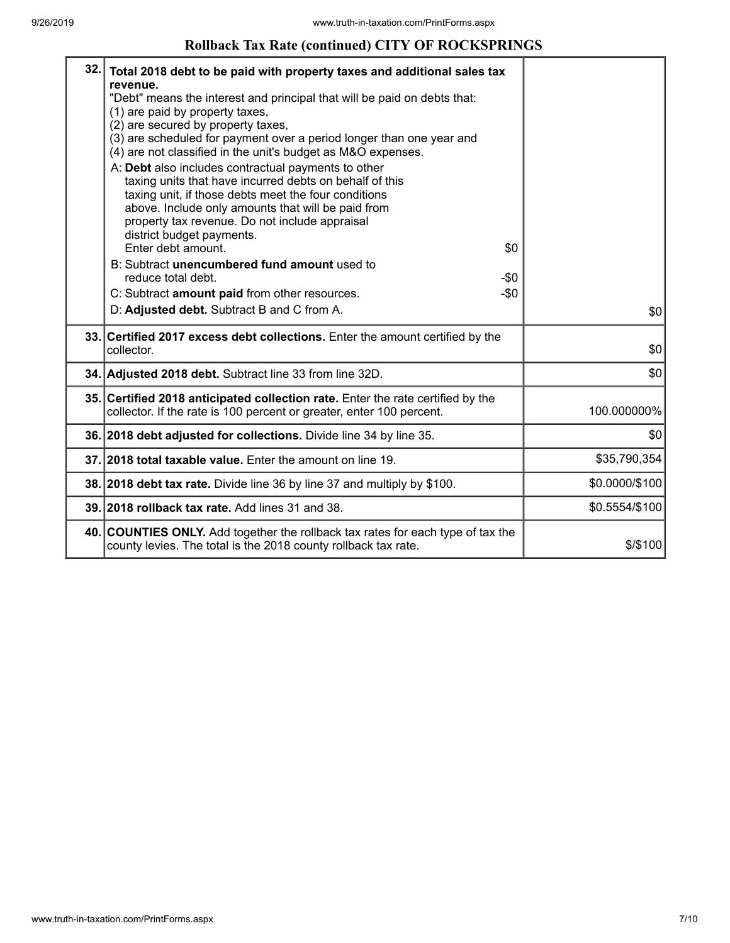#### **Rollback Tax Rate (continued) CITY OF ROCKSPRINGS**

| 32. | Total 2018 debt to be paid with property taxes and additional sales tax<br>revenue.<br>"Debt" means the interest and principal that will be paid on debts that:<br>(1) are paid by property taxes,<br>(2) are secured by property taxes,<br>(3) are scheduled for payment over a period longer than one year and<br>(4) are not classified in the unit's budget as M&O expenses.<br>A: Debt also includes contractual payments to other<br>taxing units that have incurred debts on behalf of this<br>taxing unit, if those debts meet the four conditions<br>above. Include only amounts that will be paid from<br>property tax revenue. Do not include appraisal<br>district budget payments.<br>Enter debt amount. | \$0    |                |
|-----|-----------------------------------------------------------------------------------------------------------------------------------------------------------------------------------------------------------------------------------------------------------------------------------------------------------------------------------------------------------------------------------------------------------------------------------------------------------------------------------------------------------------------------------------------------------------------------------------------------------------------------------------------------------------------------------------------------------------------|--------|----------------|
|     | B: Subtract unencumbered fund amount used to<br>reduce total debt.                                                                                                                                                                                                                                                                                                                                                                                                                                                                                                                                                                                                                                                    | -\$0   |                |
|     | C: Subtract amount paid from other resources.                                                                                                                                                                                                                                                                                                                                                                                                                                                                                                                                                                                                                                                                         | $-\$0$ |                |
|     | D: Adjusted debt. Subtract B and C from A.                                                                                                                                                                                                                                                                                                                                                                                                                                                                                                                                                                                                                                                                            |        | \$0            |
|     | 33. Certified 2017 excess debt collections. Enter the amount certified by the<br>collector.                                                                                                                                                                                                                                                                                                                                                                                                                                                                                                                                                                                                                           |        | \$0            |
|     | 34. Adjusted 2018 debt. Subtract line 33 from line 32D.                                                                                                                                                                                                                                                                                                                                                                                                                                                                                                                                                                                                                                                               |        | \$0            |
|     | 35. Certified 2018 anticipated collection rate. Enter the rate certified by the<br>collector. If the rate is 100 percent or greater, enter 100 percent.                                                                                                                                                                                                                                                                                                                                                                                                                                                                                                                                                               |        | 100.000000%    |
|     | 36. 2018 debt adjusted for collections. Divide line 34 by line 35.                                                                                                                                                                                                                                                                                                                                                                                                                                                                                                                                                                                                                                                    |        | \$0            |
|     | 37. 2018 total taxable value. Enter the amount on line 19.                                                                                                                                                                                                                                                                                                                                                                                                                                                                                                                                                                                                                                                            |        | \$35,790,354   |
|     | 38. 2018 debt tax rate. Divide line 36 by line 37 and multiply by \$100.                                                                                                                                                                                                                                                                                                                                                                                                                                                                                                                                                                                                                                              |        | \$0.0000/\$100 |
|     | 39. 2018 rollback tax rate. Add lines 31 and 38.                                                                                                                                                                                                                                                                                                                                                                                                                                                                                                                                                                                                                                                                      |        | \$0.5554/\$100 |
|     | 40. COUNTIES ONLY. Add together the rollback tax rates for each type of tax the<br>county levies. The total is the 2018 county rollback tax rate.                                                                                                                                                                                                                                                                                                                                                                                                                                                                                                                                                                     |        | $$$ /\$100     |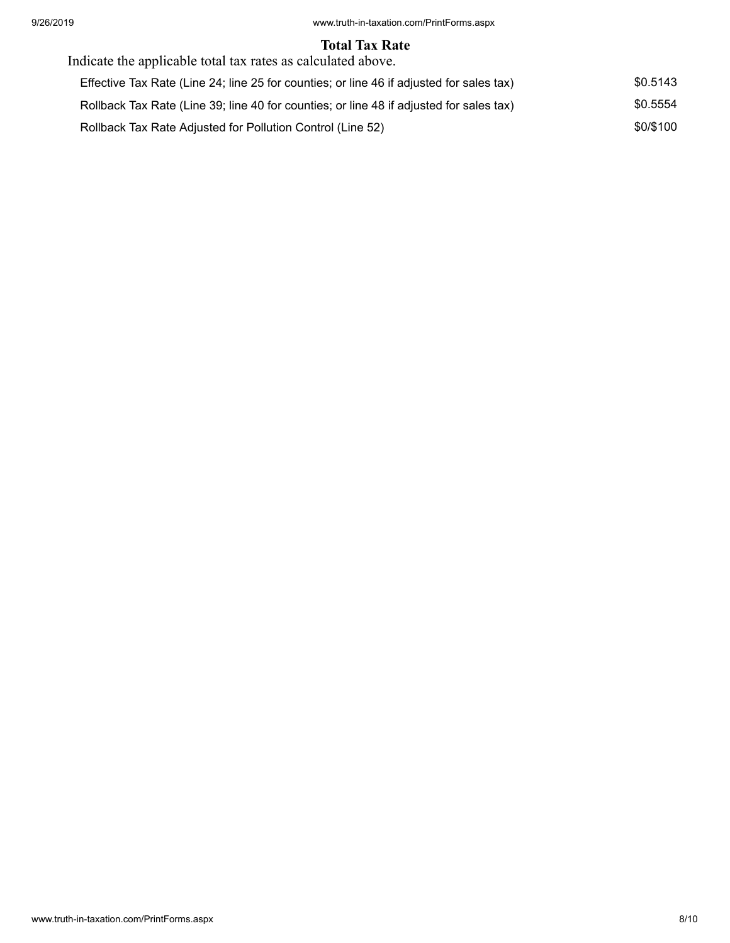#### **Total Tax Rate**

| Indicate the applicable total tax rates as calculated above.                             |           |
|------------------------------------------------------------------------------------------|-----------|
| Effective Tax Rate (Line 24; line 25 for counties; or line 46 if adjusted for sales tax) | \$0.5143  |
| Rollback Tax Rate (Line 39; line 40 for counties; or line 48 if adjusted for sales tax)  | \$0.5554  |
| Rollback Tax Rate Adjusted for Pollution Control (Line 52)                               | \$0/\$100 |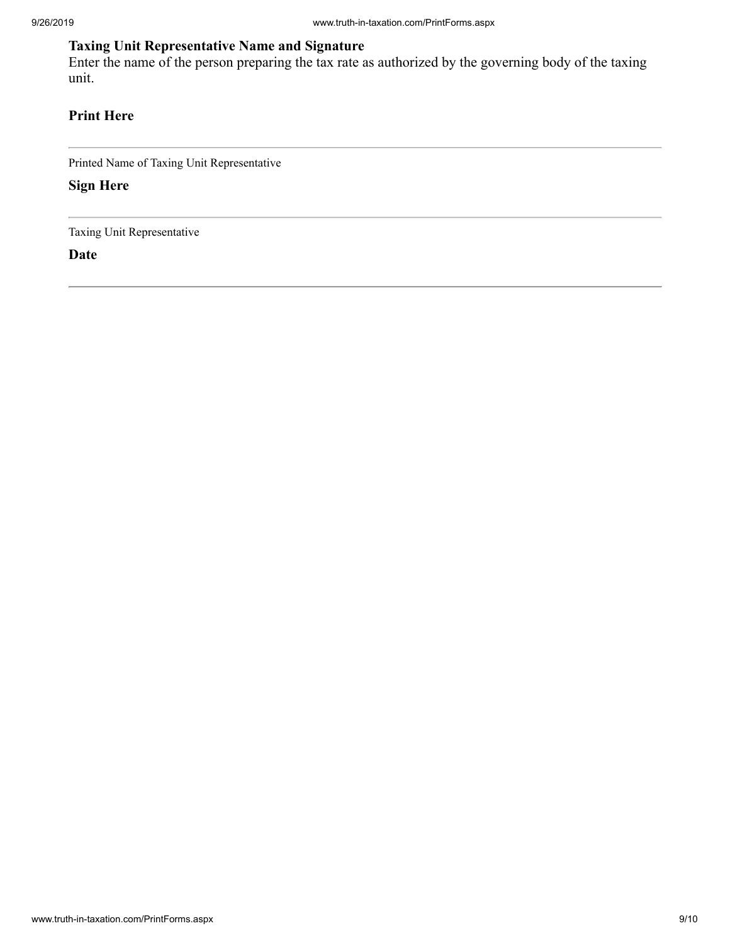## **Taxing Unit Representative Name and Signature**

Enter the name of the person preparing the tax rate as authorized by the governing body of the taxing unit.

#### **Print Here**

Printed Name of Taxing Unit Representative

**Sign Here**

Taxing Unit Representative

**Date**